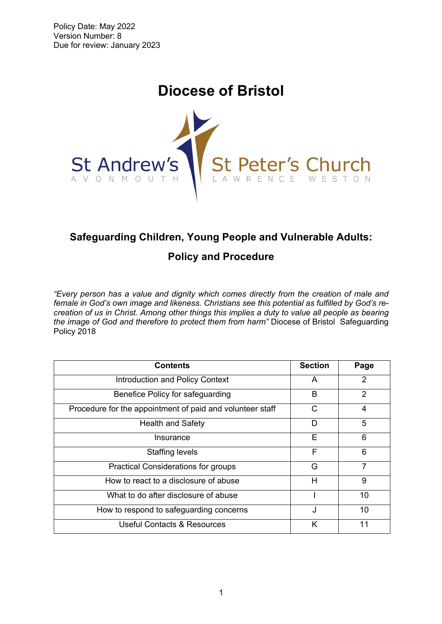# **Diocese of Bristol**



# **Safeguarding Children, Young People and Vulnerable Adults:**

# **Policy and Procedure**

*"Every person has a value and dignity which comes directly from the creation of male and female in God's own image and likeness. Christians see this potential as fulfilled by God's recreation of us in Christ. Among other things this implies a duty to value all people as bearing the image of God and therefore to protect them from harm"* Diocese of Bristol Safeguarding Policy 2018

| <b>Contents</b>                                           | <b>Section</b> | Page |
|-----------------------------------------------------------|----------------|------|
| <b>Introduction and Policy Context</b>                    | A              | 2    |
| Benefice Policy for safeguarding                          | B              | 2    |
| Procedure for the appointment of paid and volunteer staff | С              | 4    |
| <b>Health and Safety</b>                                  | D              | 5    |
| Insurance                                                 | Е              | 6    |
| Staffing levels                                           | F              | 6    |
| <b>Practical Considerations for groups</b>                | G              | 7    |
| How to react to a disclosure of abuse                     | н              | 9    |
| What to do after disclosure of abuse                      |                | 10   |
| How to respond to safeguarding concerns                   | J              | 10   |
| Useful Contacts & Resources                               | Κ              |      |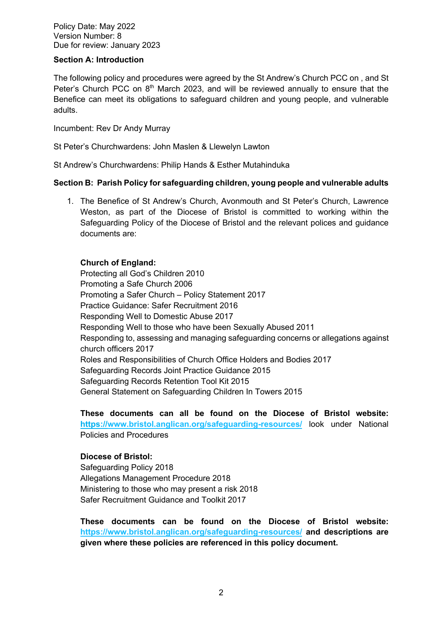Policy Date: May 2022 Version Number: 8 Due for review: January 2023

#### **Section A: Introduction**

The following policy and procedures were agreed by the St Andrew's Church PCC on , and St Peter's Church PCC on  $8<sup>th</sup>$  March 2023, and will be reviewed annually to ensure that the Benefice can meet its obligations to safeguard children and young people, and vulnerable adults.

Incumbent: Rev Dr Andy Murray

St Peter's Churchwardens: John Maslen & Llewelyn Lawton

St Andrew's Churchwardens: Philip Hands & Esther Mutahinduka

#### **Section B: Parish Policy for safeguarding children, young people and vulnerable adults**

1. The Benefice of St Andrew's Church, Avonmouth and St Peter's Church, Lawrence Weston, as part of the Diocese of Bristol is committed to working within the Safeguarding Policy of the Diocese of Bristol and the relevant polices and guidance documents are:

#### **Church of England:**

Protecting all God's Children 2010 Promoting a Safe Church 2006 Promoting a Safer Church – Policy Statement 2017 Practice Guidance: Safer Recruitment 2016 Responding Well to Domestic Abuse 2017 Responding Well to those who have been Sexually Abused 2011 Responding to, assessing and managing safeguarding concerns or allegations against church officers 2017 Roles and Responsibilities of Church Office Holders and Bodies 2017 Safeguarding Records Joint Practice Guidance 2015 Safeguarding Records Retention Tool Kit 2015 General Statement on Safeguarding Children In Towers 2015

**These documents can all be found on the Diocese of Bristol website: https://www.bristol.anglican.org/safeguarding-resources/** look under National Policies and Procedures

#### **Diocese of Bristol:**

Safeguarding Policy 2018 Allegations Management Procedure 2018 Ministering to those who may present a risk 2018 Safer Recruitment Guidance and Toolkit 2017

**These documents can be found on the Diocese of Bristol website: https://www.bristol.anglican.org/safeguarding-resources/ and descriptions are given where these policies are referenced in this policy document.**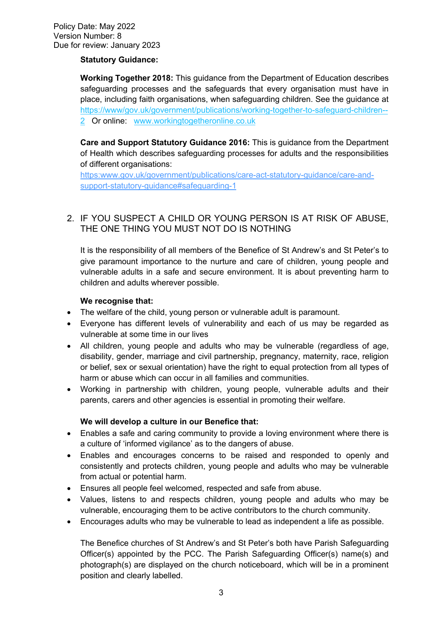#### **Statutory Guidance:**

**Working Together 2018:** This guidance from the Department of Education describes safeguarding processes and the safeguards that every organisation must have in place, including faith organisations, when safeguarding children. See the guidance at https://www/gov.uk/government/publications/working-together-to-safeguard-children-- 2 Or online: www.workingtogetheronline.co.uk

**Care and Support Statutory Guidance 2016:** This is guidance from the Department of Health which describes safeguarding processes for adults and the responsibilities of different organisations:

https:www.gov.uk/government/publications/care-act-statutory-guidance/care-andsupport-statutory-guidance#safeguarding-1

# 2. IF YOU SUSPECT A CHILD OR YOUNG PERSON IS AT RISK OF ABUSE, THE ONE THING YOU MUST NOT DO IS NOTHING

It is the responsibility of all members of the Benefice of St Andrew's and St Peter's to give paramount importance to the nurture and care of children, young people and vulnerable adults in a safe and secure environment. It is about preventing harm to children and adults wherever possible.

#### **We recognise that:**

- The welfare of the child, young person or vulnerable adult is paramount.
- Everyone has different levels of vulnerability and each of us may be regarded as vulnerable at some time in our lives
- All children, young people and adults who may be vulnerable (regardless of age, disability, gender, marriage and civil partnership, pregnancy, maternity, race, religion or belief, sex or sexual orientation) have the right to equal protection from all types of harm or abuse which can occur in all families and communities.
- Working in partnership with children, young people, vulnerable adults and their parents, carers and other agencies is essential in promoting their welfare.

#### **We will develop a culture in our Benefice that:**

- Enables a safe and caring community to provide a loving environment where there is a culture of 'informed vigilance' as to the dangers of abuse.
- Enables and encourages concerns to be raised and responded to openly and consistently and protects children, young people and adults who may be vulnerable from actual or potential harm.
- Ensures all people feel welcomed, respected and safe from abuse.
- Values, listens to and respects children, young people and adults who may be vulnerable, encouraging them to be active contributors to the church community.
- Encourages adults who may be vulnerable to lead as independent a life as possible.

The Benefice churches of St Andrew's and St Peter's both have Parish Safeguarding Officer(s) appointed by the PCC. The Parish Safeguarding Officer(s) name(s) and photograph(s) are displayed on the church noticeboard, which will be in a prominent position and clearly labelled.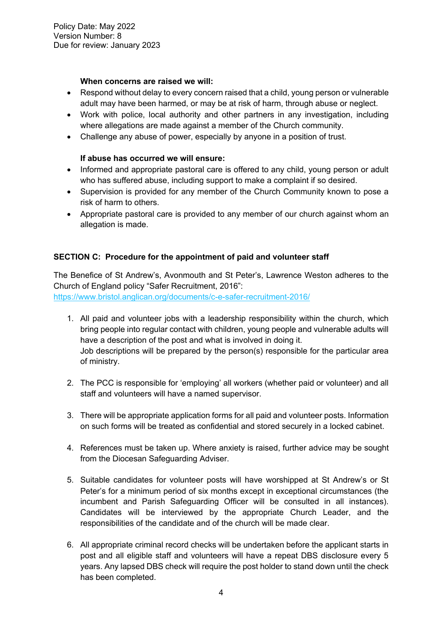#### **When concerns are raised we will:**

- Respond without delay to every concern raised that a child, young person or vulnerable adult may have been harmed, or may be at risk of harm, through abuse or neglect.
- Work with police, local authority and other partners in any investigation, including where allegations are made against a member of the Church community.
- Challenge any abuse of power, especially by anyone in a position of trust.

# **If abuse has occurred we will ensure:**

- Informed and appropriate pastoral care is offered to any child, young person or adult who has suffered abuse, including support to make a complaint if so desired.
- Supervision is provided for any member of the Church Community known to pose a risk of harm to others.
- Appropriate pastoral care is provided to any member of our church against whom an allegation is made.

# **SECTION C: Procedure for the appointment of paid and volunteer staff**

The Benefice of St Andrew's, Avonmouth and St Peter's, Lawrence Weston adheres to the Church of England policy "Safer Recruitment, 2016": https://www.bristol.anglican.org/documents/c-e-safer-recruitment-2016/

- 1. All paid and volunteer jobs with a leadership responsibility within the church, which bring people into regular contact with children, young people and vulnerable adults will have a description of the post and what is involved in doing it. Job descriptions will be prepared by the person(s) responsible for the particular area of ministry.
- 2. The PCC is responsible for 'employing' all workers (whether paid or volunteer) and all staff and volunteers will have a named supervisor.
- 3. There will be appropriate application forms for all paid and volunteer posts. Information on such forms will be treated as confidential and stored securely in a locked cabinet.
- 4. References must be taken up. Where anxiety is raised, further advice may be sought from the Diocesan Safeguarding Adviser.
- 5. Suitable candidates for volunteer posts will have worshipped at St Andrew's or St Peter's for a minimum period of six months except in exceptional circumstances (the incumbent and Parish Safeguarding Officer will be consulted in all instances). Candidates will be interviewed by the appropriate Church Leader, and the responsibilities of the candidate and of the church will be made clear.
- 6. All appropriate criminal record checks will be undertaken before the applicant starts in post and all eligible staff and volunteers will have a repeat DBS disclosure every 5 years. Any lapsed DBS check will require the post holder to stand down until the check has been completed.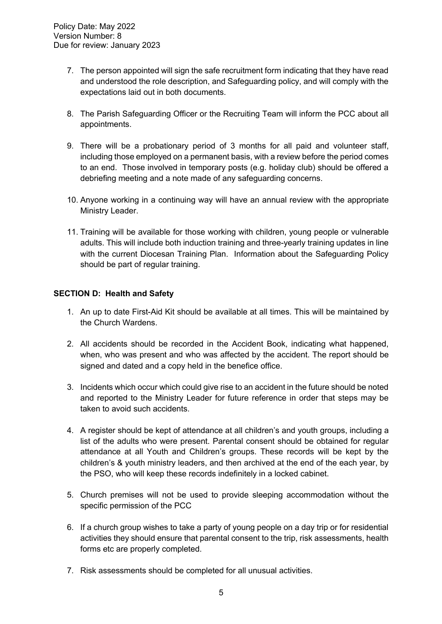- 7. The person appointed will sign the safe recruitment form indicating that they have read and understood the role description, and Safeguarding policy, and will comply with the expectations laid out in both documents.
- 8. The Parish Safeguarding Officer or the Recruiting Team will inform the PCC about all appointments.
- 9. There will be a probationary period of 3 months for all paid and volunteer staff, including those employed on a permanent basis, with a review before the period comes to an end. Those involved in temporary posts (e.g. holiday club) should be offered a debriefing meeting and a note made of any safeguarding concerns.
- 10. Anyone working in a continuing way will have an annual review with the appropriate Ministry Leader.
- 11. Training will be available for those working with children, young people or vulnerable adults. This will include both induction training and three-yearly training updates in line with the current Diocesan Training Plan. Information about the Safeguarding Policy should be part of regular training.

#### **SECTION D: Health and Safety**

- 1. An up to date First-Aid Kit should be available at all times. This will be maintained by the Church Wardens.
- 2. All accidents should be recorded in the Accident Book, indicating what happened, when, who was present and who was affected by the accident. The report should be signed and dated and a copy held in the benefice office.
- 3. Incidents which occur which could give rise to an accident in the future should be noted and reported to the Ministry Leader for future reference in order that steps may be taken to avoid such accidents.
- 4. A register should be kept of attendance at all children's and youth groups, including a list of the adults who were present. Parental consent should be obtained for regular attendance at all Youth and Children's groups. These records will be kept by the children's & youth ministry leaders, and then archived at the end of the each year, by the PSO, who will keep these records indefinitely in a locked cabinet.
- 5. Church premises will not be used to provide sleeping accommodation without the specific permission of the PCC
- 6. If a church group wishes to take a party of young people on a day trip or for residential activities they should ensure that parental consent to the trip, risk assessments, health forms etc are properly completed.
- 7. Risk assessments should be completed for all unusual activities.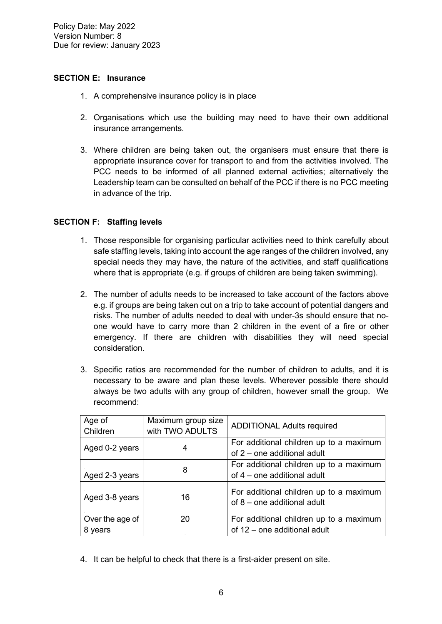#### **SECTION E: Insurance**

- 1. A comprehensive insurance policy is in place
- 2. Organisations which use the building may need to have their own additional insurance arrangements.
- 3. Where children are being taken out, the organisers must ensure that there is appropriate insurance cover for transport to and from the activities involved. The PCC needs to be informed of all planned external activities; alternatively the Leadership team can be consulted on behalf of the PCC if there is no PCC meeting in advance of the trip.

# **SECTION F: Staffing levels**

- 1. Those responsible for organising particular activities need to think carefully about safe staffing levels, taking into account the age ranges of the children involved, any special needs they may have, the nature of the activities, and staff qualifications where that is appropriate (e.g. if groups of children are being taken swimming).
- 2. The number of adults needs to be increased to take account of the factors above e.g. if groups are being taken out on a trip to take account of potential dangers and risks. The number of adults needed to deal with under-3s should ensure that noone would have to carry more than 2 children in the event of a fire or other emergency. If there are children with disabilities they will need special consideration.
- 3. Specific ratios are recommended for the number of children to adults, and it is necessary to be aware and plan these levels. Wherever possible there should always be two adults with any group of children, however small the group. We recommend:

| Age of<br>Children         | Maximum group size<br>with TWO ADULTS | <b>ADDITIONAL Adults required</b>                                       |
|----------------------------|---------------------------------------|-------------------------------------------------------------------------|
| Aged 0-2 years             |                                       | For additional children up to a maximum<br>of 2 – one additional adult  |
| Aged 2-3 years             | 8                                     | For additional children up to a maximum<br>of 4 – one additional adult  |
| Aged 3-8 years             | 16                                    | For additional children up to a maximum<br>of 8 – one additional adult  |
| Over the age of<br>8 years | 20                                    | For additional children up to a maximum<br>of 12 - one additional adult |

4. It can be helpful to check that there is a first-aider present on site.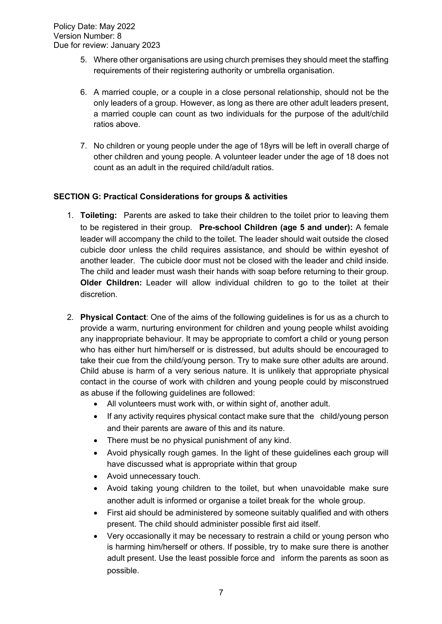- 5. Where other organisations are using church premises they should meet the staffing requirements of their registering authority or umbrella organisation.
- 6. A married couple, or a couple in a close personal relationship, should not be the only leaders of a group. However, as long as there are other adult leaders present, a married couple can count as two individuals for the purpose of the adult/child ratios above.
- 7. No children or young people under the age of 18yrs will be left in overall charge of other children and young people. A volunteer leader under the age of 18 does not count as an adult in the required child/adult ratios.

# **SECTION G: Practical Considerations for groups & activities**

- 1. **Toileting:** Parents are asked to take their children to the toilet prior to leaving them to be registered in their group. **Pre-school Children (age 5 and under):** A female leader will accompany the child to the toilet. The leader should wait outside the closed cubicle door unless the child requires assistance, and should be within eyeshot of another leader. The cubicle door must not be closed with the leader and child inside. The child and leader must wash their hands with soap before returning to their group. **Older Children:** Leader will allow individual children to go to the toilet at their discretion.
- 2. **Physical Contact**: One of the aims of the following guidelines is for us as a church to provide a warm, nurturing environment for children and young people whilst avoiding any inappropriate behaviour. It may be appropriate to comfort a child or young person who has either hurt him/herself or is distressed, but adults should be encouraged to take their cue from the child/young person. Try to make sure other adults are around. Child abuse is harm of a very serious nature. It is unlikely that appropriate physical contact in the course of work with children and young people could by misconstrued as abuse if the following guidelines are followed:
	- All volunteers must work with, or within sight of, another adult.
	- If any activity requires physical contact make sure that the child/young person and their parents are aware of this and its nature.
	- There must be no physical punishment of any kind.
	- Avoid physically rough games. In the light of these guidelines each group will have discussed what is appropriate within that group
	- Avoid unnecessary touch.
	- Avoid taking young children to the toilet, but when unavoidable make sure another adult is informed or organise a toilet break for the whole group.
	- First aid should be administered by someone suitably qualified and with others present. The child should administer possible first aid itself.
	- Very occasionally it may be necessary to restrain a child or young person who is harming him/herself or others. If possible, try to make sure there is another adult present. Use the least possible force and inform the parents as soon as possible.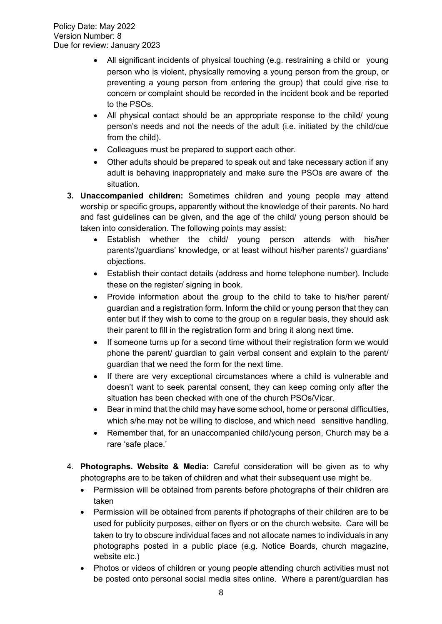- All significant incidents of physical touching (e.g. restraining a child or young person who is violent, physically removing a young person from the group, or preventing a young person from entering the group) that could give rise to concern or complaint should be recorded in the incident book and be reported to the PSOs.
- All physical contact should be an appropriate response to the child/ young person's needs and not the needs of the adult (i.e. initiated by the child/cue from the child).
- Colleagues must be prepared to support each other.
- Other adults should be prepared to speak out and take necessary action if any adult is behaving inappropriately and make sure the PSOs are aware of the situation.
- **3. Unaccompanied children:** Sometimes children and young people may attend worship or specific groups, apparently without the knowledge of their parents. No hard and fast guidelines can be given, and the age of the child/ young person should be taken into consideration. The following points may assist:
	- Establish whether the child/ young person attends with his/her parents'/guardians' knowledge, or at least without his/her parents'/ guardians' objections.
	- Establish their contact details (address and home telephone number). Include these on the register/ signing in book.
	- Provide information about the group to the child to take to his/her parent/ guardian and a registration form. Inform the child or young person that they can enter but if they wish to come to the group on a regular basis, they should ask their parent to fill in the registration form and bring it along next time.
	- If someone turns up for a second time without their registration form we would phone the parent/ guardian to gain verbal consent and explain to the parent/ guardian that we need the form for the next time.
	- If there are very exceptional circumstances where a child is vulnerable and doesn't want to seek parental consent, they can keep coming only after the situation has been checked with one of the church PSOs/Vicar.
	- Bear in mind that the child may have some school, home or personal difficulties, which s/he may not be willing to disclose, and which need sensitive handling.
	- Remember that, for an unaccompanied child/young person, Church may be a rare 'safe place.'
- 4. **Photographs. Website & Media:** Careful consideration will be given as to why photographs are to be taken of children and what their subsequent use might be.
	- Permission will be obtained from parents before photographs of their children are taken
	- Permission will be obtained from parents if photographs of their children are to be used for publicity purposes, either on flyers or on the church website. Care will be taken to try to obscure individual faces and not allocate names to individuals in any photographs posted in a public place (e.g. Notice Boards, church magazine, website etc.)
	- Photos or videos of children or young people attending church activities must not be posted onto personal social media sites online. Where a parent/guardian has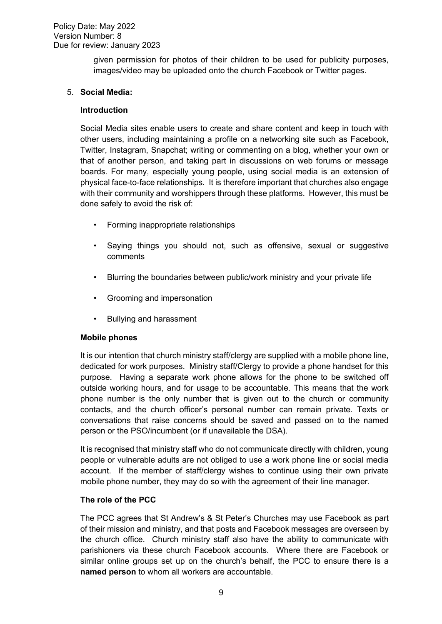#### Policy Date: May 2022 Version Number: 8 Due for review: January 2023

given permission for photos of their children to be used for publicity purposes, images/video may be uploaded onto the church Facebook or Twitter pages.

#### 5. **Social Media:**

#### **Introduction**

Social Media sites enable users to create and share content and keep in touch with other users, including maintaining a profile on a networking site such as Facebook, Twitter, Instagram, Snapchat; writing or commenting on a blog, whether your own or that of another person, and taking part in discussions on web forums or message boards. For many, especially young people, using social media is an extension of physical face-to-face relationships. It is therefore important that churches also engage with their community and worshippers through these platforms. However, this must be done safely to avoid the risk of:

- ! Forming inappropriate relationships
- ! Saying things you should not, such as offensive, sexual or suggestive comments
- ! Blurring the boundaries between public/work ministry and your private life
- Grooming and impersonation
- **•** Bullying and harassment

#### **Mobile phones**

It is our intention that church ministry staff/clergy are supplied with a mobile phone line, dedicated for work purposes. Ministry staff/Clergy to provide a phone handset for this purpose. Having a separate work phone allows for the phone to be switched off outside working hours, and for usage to be accountable. This means that the work phone number is the only number that is given out to the church or community contacts, and the church officer's personal number can remain private. Texts or conversations that raise concerns should be saved and passed on to the named person or the PSO/incumbent (or if unavailable the DSA).

It is recognised that ministry staff who do not communicate directly with children, young people or vulnerable adults are not obliged to use a work phone line or social media account. If the member of staff/clergy wishes to continue using their own private mobile phone number, they may do so with the agreement of their line manager.

#### **The role of the PCC**

The PCC agrees that St Andrew's & St Peter's Churches may use Facebook as part of their mission and ministry, and that posts and Facebook messages are overseen by the church office. Church ministry staff also have the ability to communicate with parishioners via these church Facebook accounts. Where there are Facebook or similar online groups set up on the church's behalf, the PCC to ensure there is a **named person** to whom all workers are accountable.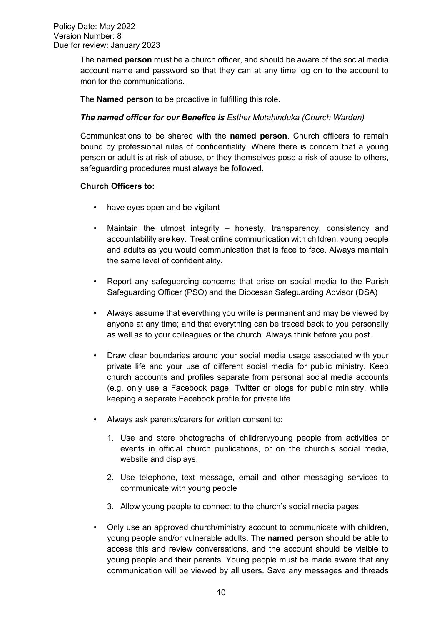The **named person** must be a church officer, and should be aware of the social media account name and password so that they can at any time log on to the account to monitor the communications.

The **Named person** to be proactive in fulfilling this role.

#### *The named officer for our Benefice is Esther Mutahinduka (Church Warden)*

Communications to be shared with the **named person**. Church officers to remain bound by professional rules of confidentiality. Where there is concern that a young person or adult is at risk of abuse, or they themselves pose a risk of abuse to others, safeguarding procedures must always be followed.

#### **Church Officers to:**

- have eyes open and be vigilant
- Maintain the utmost integrity honesty, transparency, consistency and accountability are key. Treat online communication with children, young people and adults as you would communication that is face to face. Always maintain the same level of confidentiality.
- ! Report any safeguarding concerns that arise on social media to the Parish Safeguarding Officer (PSO) and the Diocesan Safeguarding Advisor (DSA)
- Always assume that everything you write is permanent and may be viewed by anyone at any time; and that everything can be traced back to you personally as well as to your colleagues or the church. Always think before you post.
- ! Draw clear boundaries around your social media usage associated with your private life and your use of different social media for public ministry. Keep church accounts and profiles separate from personal social media accounts (e.g. only use a Facebook page, Twitter or blogs for public ministry, while keeping a separate Facebook profile for private life.
- ! Always ask parents/carers for written consent to:
	- 1. Use and store photographs of children/young people from activities or events in official church publications, or on the church's social media, website and displays.
	- 2. Use telephone, text message, email and other messaging services to communicate with young people
	- 3. Allow young people to connect to the church's social media pages
- ! Only use an approved church/ministry account to communicate with children, young people and/or vulnerable adults. The **named person** should be able to access this and review conversations, and the account should be visible to young people and their parents. Young people must be made aware that any communication will be viewed by all users. Save any messages and threads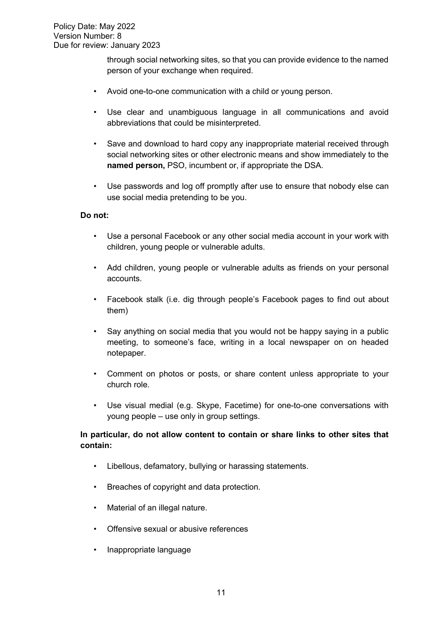through social networking sites, so that you can provide evidence to the named person of your exchange when required.

- Avoid one-to-one communication with a child or young person.
- ! Use clear and unambiguous language in all communications and avoid abbreviations that could be misinterpreted.
- Save and download to hard copy any inappropriate material received through social networking sites or other electronic means and show immediately to the **named person,** PSO, incumbent or, if appropriate the DSA.
- Use passwords and log off promptly after use to ensure that nobody else can use social media pretending to be you.

#### **Do not:**

- ! Use a personal Facebook or any other social media account in your work with children, young people or vulnerable adults.
- Add children, young people or vulnerable adults as friends on your personal accounts.
- ! Facebook stalk (i.e. dig through people's Facebook pages to find out about them)
- Say anything on social media that you would not be happy saying in a public meeting, to someone's face, writing in a local newspaper on on headed notepaper.
- ! Comment on photos or posts, or share content unless appropriate to your church role.
- Use visual medial (e.g. Skype, Facetime) for one-to-one conversations with young people – use only in group settings.

#### **In particular, do not allow content to contain or share links to other sites that contain:**

- ! Libellous, defamatory, bullying or harassing statements.
- Breaches of copyright and data protection.
- Material of an illegal nature.
- . Offensive sexual or abusive references
- . Inappropriate language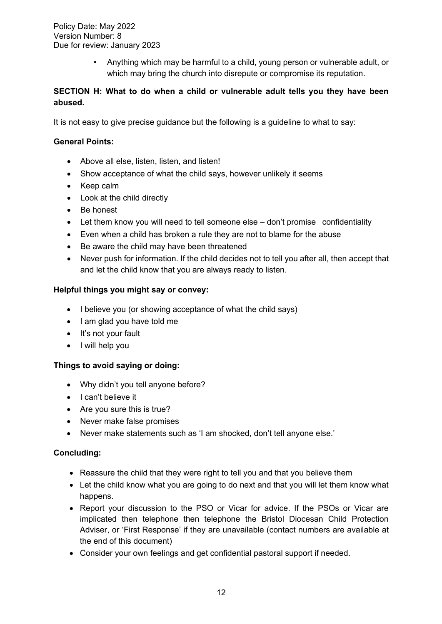Policy Date: May 2022 Version Number: 8 Due for review: January 2023

> ! Anything which may be harmful to a child, young person or vulnerable adult, or which may bring the church into disrepute or compromise its reputation.

# **SECTION H: What to do when a child or vulnerable adult tells you they have been abused.**

It is not easy to give precise guidance but the following is a guideline to what to say:

#### **General Points:**

- Above all else, listen, listen, and listen!
- Show acceptance of what the child says, however unlikely it seems
- Keep calm
- Look at the child directly
- Be honest
- Let them know you will need to tell someone else don't promise confidentiality
- Even when a child has broken a rule they are not to blame for the abuse
- Be aware the child may have been threatened
- Never push for information. If the child decides not to tell you after all, then accept that and let the child know that you are always ready to listen.

#### **Helpful things you might say or convey:**

- I believe you (or showing acceptance of what the child says)
- I am glad you have told me
- It's not your fault
- I will help you

#### **Things to avoid saying or doing:**

- Why didn't you tell anyone before?
- I can't believe it
- Are you sure this is true?
- Never make false promises
- Never make statements such as 'I am shocked, don't tell anyone else.'

#### **Concluding:**

- Reassure the child that they were right to tell you and that you believe them
- Let the child know what you are going to do next and that you will let them know what happens.
- Report your discussion to the PSO or Vicar for advice. If the PSOs or Vicar are implicated then telephone then telephone the Bristol Diocesan Child Protection Adviser, or 'First Response' if they are unavailable (contact numbers are available at the end of this document)
- Consider your own feelings and get confidential pastoral support if needed.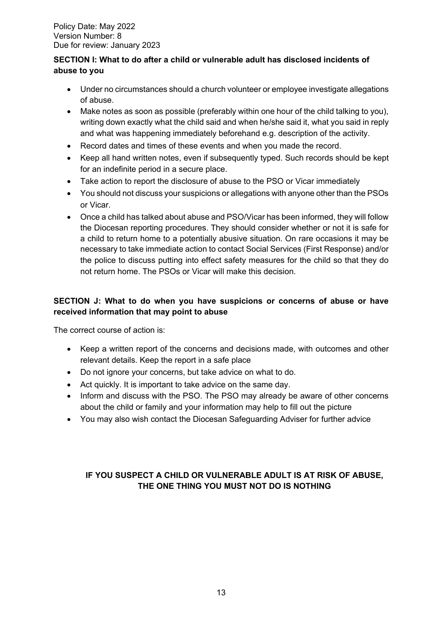# **SECTION I: What to do after a child or vulnerable adult has disclosed incidents of abuse to you**

- Under no circumstances should a church volunteer or employee investigate allegations of abuse.
- Make notes as soon as possible (preferably within one hour of the child talking to you), writing down exactly what the child said and when he/she said it, what you said in reply and what was happening immediately beforehand e.g. description of the activity.
- Record dates and times of these events and when you made the record.
- Keep all hand written notes, even if subsequently typed. Such records should be kept for an indefinite period in a secure place.
- Take action to report the disclosure of abuse to the PSO or Vicar immediately
- You should not discuss your suspicions or allegations with anyone other than the PSOs or Vicar.
- Once a child has talked about abuse and PSO/Vicar has been informed, they will follow the Diocesan reporting procedures. They should consider whether or not it is safe for a child to return home to a potentially abusive situation. On rare occasions it may be necessary to take immediate action to contact Social Services (First Response) and/or the police to discuss putting into effect safety measures for the child so that they do not return home. The PSOs or Vicar will make this decision.

# **SECTION J: What to do when you have suspicions or concerns of abuse or have received information that may point to abuse**

The correct course of action is:

- Keep a written report of the concerns and decisions made, with outcomes and other relevant details. Keep the report in a safe place
- Do not ignore your concerns, but take advice on what to do.
- Act quickly. It is important to take advice on the same day.
- Inform and discuss with the PSO. The PSO may already be aware of other concerns about the child or family and your information may help to fill out the picture
- You may also wish contact the Diocesan Safeguarding Adviser for further advice

# **IF YOU SUSPECT A CHILD OR VULNERABLE ADULT IS AT RISK OF ABUSE, THE ONE THING YOU MUST NOT DO IS NOTHING**